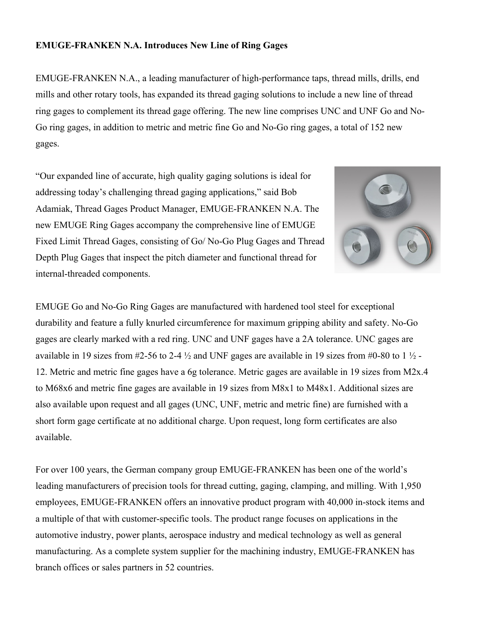## **EMUGE-FRANKEN N.A. Introduces New Line of Ring Gages**

EMUGE-FRANKEN N.A., a leading manufacturer of high-performance taps, thread mills, drills, end mills and other rotary tools, has expanded its thread gaging solutions to include a new line of thread ring gages to complement its thread gage offering. The new line comprises UNC and UNF Go and No-Go ring gages, in addition to metric and metric fine Go and No-Go ring gages, a total of 152 new gages.

"Our expanded line of accurate, high quality gaging solutions is ideal for addressing today's challenging thread gaging applications," said Bob Adamiak, Thread Gages Product Manager, EMUGE-FRANKEN N.A. The new EMUGE Ring Gages accompany the comprehensive line of EMUGE Fixed Limit Thread Gages, consisting of Go/ No-Go Plug Gages and Thread Depth Plug Gages that inspect the pitch diameter and functional thread for internal-threaded components.



EMUGE Go and No-Go Ring Gages are manufactured with hardened tool steel for exceptional durability and feature a fully knurled circumference for maximum gripping ability and safety. No-Go gages are clearly marked with a red ring. UNC and UNF gages have a 2A tolerance. UNC gages are available in 19 sizes from #2-56 to 2-4  $\frac{1}{2}$  and UNF gages are available in 19 sizes from #0-80 to 1  $\frac{1}{2}$  -12. Metric and metric fine gages have a 6g tolerance. Metric gages are available in 19 sizes from M2x.4 to M68x6 and metric fine gages are available in 19 sizes from M8x1 to M48x1. Additional sizes are also available upon request and all gages (UNC, UNF, metric and metric fine) are furnished with a short form gage certificate at no additional charge. Upon request, long form certificates are also available.

For over 100 years, the German company group EMUGE-FRANKEN has been one of the world's leading manufacturers of precision tools for thread cutting, gaging, clamping, and milling. With 1,950 employees, EMUGE-FRANKEN offers an innovative product program with 40,000 in-stock items and a multiple of that with customer-specific tools. The product range focuses on applications in the automotive industry, power plants, aerospace industry and medical technology as well as general manufacturing. As a complete system supplier for the machining industry, EMUGE-FRANKEN has branch offices or sales partners in 52 countries.